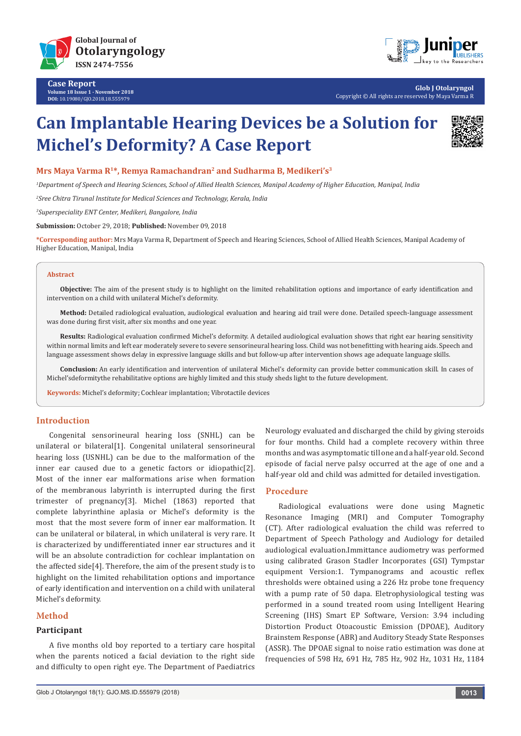

**Case Report Volume 18 Issue 1 - November 2018 DOI:** [10.19080/GJO.2018.18.555979](http://dx.doi.org/10.19080/GJO.2018.18.555979)



**Glob J Otolaryngol** Copyright © All rights are reserved by Maya Varma R

# **Can Implantable Hearing Devices be a Solution for Michel's Deformity? A Case Report**



**Mrs Maya Varma R1\*, Remya Ramachandran2 and Sudharma B, Medikeri's3**

*1 Department of Speech and Hearing Sciences, School of Allied Health Sciences, Manipal Academy of Higher Education, Manipal, India*

*2 Sree Chitra Tirunal Institute for Medical Sciences and Technology, Kerala, India*

*3 Superspeciality ENT Center, Medikeri, Bangalore, India*

**Submission:** October 29, 2018; **Published:** November 09, 2018

**\*Corresponding author:** Mrs Maya Varma R, Department of Speech and Hearing Sciences, School of Allied Health Sciences, Manipal Academy of Higher Education, Manipal, India

#### **Abstract**

**Objective:** The aim of the present study is to highlight on the limited rehabilitation options and importance of early identification and intervention on a child with unilateral Michel's deformity.

**Method:** Detailed radiological evaluation, audiological evaluation and hearing aid trail were done. Detailed speech-language assessment was done during first visit, after six months and one year.

**Results:** Radiological evaluation confirmed Michel's deformity. A detailed audiological evaluation shows that right ear hearing sensitivity within normal limits and left ear moderately severe to severe sensorineural hearing loss. Child was not benefitting with hearing aids. Speech and language assessment shows delay in expressive language skills and but follow-up after intervention shows age adequate language skills.

**Conclusion:** An early identification and intervention of unilateral Michel's deformity can provide better communication skill. In cases of Michel'sdeformitythe rehabilitative options are highly limited and this study sheds light to the future development.

**Keywords:** Michel's deformity; Cochlear implantation; Vibrotactile devices

# **Introduction**

Congenital sensorineural hearing loss (SNHL) can be unilateral or bilateral[1]. Congenital unilateral sensorineural hearing loss (USNHL) can be due to the malformation of the inner ear caused due to a genetic factors or idiopathic[2]. Most of the inner ear malformations arise when formation of the membranous labyrinth is interrupted during the first trimester of pregnancy[3]. Michel (1863) reported that complete labyrinthine aplasia or Michel's deformity is the most that the most severe form of inner ear malformation. It can be unilateral or bilateral, in which unilateral is very rare. It is characterized by undifferentiated inner ear structures and it will be an absolute contradiction for cochlear implantation on the affected side[4]. Therefore, the aim of the present study is to highlight on the limited rehabilitation options and importance of early identification and intervention on a child with unilateral Michel's deformity.

# **Method**

### **Participant**

A five months old boy reported to a tertiary care hospital when the parents noticed a facial deviation to the right side and difficulty to open right eye. The Department of Paediatrics

Neurology evaluated and discharged the child by giving steroids for four months. Child had a complete recovery within three months and was asymptomatic till one and a half-year old. Second episode of facial nerve palsy occurred at the age of one and a half-year old and child was admitted for detailed investigation.

# **Procedure**

Radiological evaluations were done using Magnetic Resonance Imaging (MRI) and Computer Tomography (CT). After radiological evaluation the child was referred to Department of Speech Pathology and Audiology for detailed audiological evaluation.Immittance audiometry was performed using calibrated Grason Stadler Incorporates (GSI) Tympstar equipment Version:1. Tympanograms and acoustic reflex thresholds were obtained using a 226 Hz probe tone frequency with a pump rate of 50 dapa. Eletrophysiological testing was performed in a sound treated room using Intelligent Hearing Screening (IHS) Smart EP Software, Version: 3.94 including Distortion Product Otoacoustic Emission (DPOAE), Auditory Brainstem Response (ABR) and Auditory Steady State Responses (ASSR). The DPOAE signal to noise ratio estimation was done at frequencies of 598 Hz, 691 Hz, 785 Hz, 902 Hz, 1031 Hz, 1184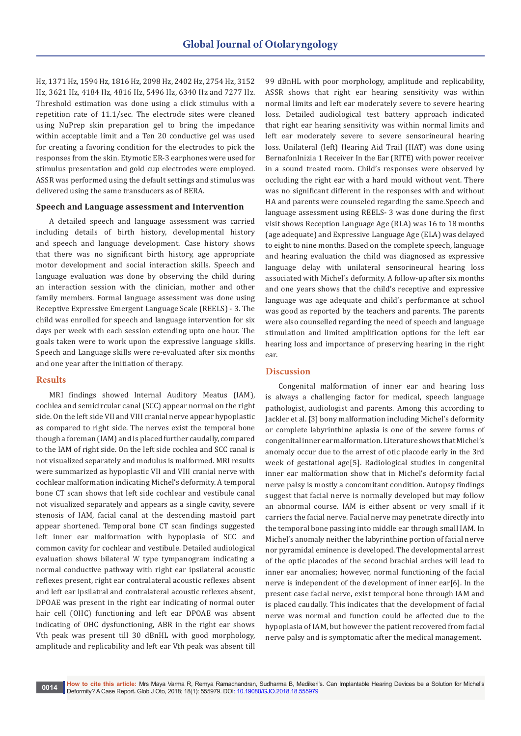Hz, 1371 Hz, 1594 Hz, 1816 Hz, 2098 Hz, 2402 Hz, 2754 Hz, 3152 Hz, 3621 Hz, 4184 Hz, 4816 Hz, 5496 Hz, 6340 Hz and 7277 Hz. Threshold estimation was done using a click stimulus with a repetition rate of 11.1/sec. The electrode sites were cleaned using NuPrep skin preparation gel to bring the impedance within acceptable limit and a Ten 20 conductive gel was used for creating a favoring condition for the electrodes to pick the responses from the skin. Etymotic ER-3 earphones were used for stimulus presentation and gold cup electrodes were employed. ASSR was performed using the default settings and stimulus was delivered using the same transducers as of BERA.

## **Speech and Language assessment and Intervention**

A detailed speech and language assessment was carried including details of birth history, developmental history and speech and language development. Case history shows that there was no significant birth history, age appropriate motor development and social interaction skills. Speech and language evaluation was done by observing the child during an interaction session with the clinician, mother and other family members. Formal language assessment was done using Receptive Expressive Emergent Language Scale (REELS) - 3. The child was enrolled for speech and language intervention for six days per week with each session extending upto one hour. The goals taken were to work upon the expressive language skills. Speech and Language skills were re-evaluated after six months and one year after the initiation of therapy.

## **Results**

MRI findings showed Internal Auditory Meatus (IAM), cochlea and semicircular canal (SCC) appear normal on the right side. On the left side VII and VIII cranial nerve appear hypoplastic as compared to right side. The nerves exist the temporal bone though a foreman (IAM) and is placed further caudally, compared to the IAM of right side. On the left side cochlea and SCC canal is not visualized separately and modulus is malformed. MRI results were summarized as hypoplastic VII and VIII cranial nerve with cochlear malformation indicating Michel's deformity. A temporal bone CT scan shows that left side cochlear and vestibule canal not visualized separately and appears as a single cavity, severe stenosis of IAM, facial canal at the descending mastoid part appear shortened. Temporal bone CT scan findings suggested left inner ear malformation with hypoplasia of SCC and common cavity for cochlear and vestibule. Detailed audiological evaluation shows bilateral 'A' type tympanogram indicating a normal conductive pathway with right ear ipsilateral acoustic reflexes present, right ear contralateral acoustic reflexes absent and left ear ipsilatral and contralateral acoustic reflexes absent, DPOAE was present in the right ear indicating of normal outer hair cell (OHC) functioning and left ear DPOAE was absent indicating of OHC dysfunctioning, ABR in the right ear shows Vth peak was present till 30 dBnHL with good morphology, amplitude and replicability and left ear Vth peak was absent till

99 dBnHL with poor morphology, amplitude and replicability, ASSR shows that right ear hearing sensitivity was within normal limits and left ear moderately severe to severe hearing loss. Detailed audiological test battery approach indicated that right ear hearing sensitivity was within normal limits and left ear moderately severe to severe sensorineural hearing loss. Unilateral (left) Hearing Aid Trail (HAT) was done using BernafonInizia 1 Receiver In the Ear (RITE) with power receiver in a sound treated room. Child's responses were observed by occluding the right ear with a hard mould without vent. There was no significant different in the responses with and without HA and parents were counseled regarding the same.Speech and language assessment using REELS- 3 was done during the first visit shows Reception Language Age (RLA) was 16 to 18 months (age adequate) and Expressive Language Age (ELA) was delayed to eight to nine months. Based on the complete speech, language and hearing evaluation the child was diagnosed as expressive language delay with unilateral sensorineural hearing loss associated with Michel's deformity. A follow-up after six months and one years shows that the child's receptive and expressive language was age adequate and child's performance at school was good as reported by the teachers and parents. The parents were also counselled regarding the need of speech and language stimulation and limited amplification options for the left ear hearing loss and importance of preserving hearing in the right ear.

## **Discussion**

Congenital malformation of inner ear and hearing loss is always a challenging factor for medical, speech language pathologist, audiologist and parents. Among this according to Jackler et al. [3] bony malformation including Michel's deformity or complete labyrinthine aplasia is one of the severe forms of congenital inner ear malformation. Literature shows that Michel's anomaly occur due to the arrest of otic placode early in the 3rd week of gestational age[5]. Radiological studies in congenital inner ear malformation show that in Michel's deformity facial nerve palsy is mostly a concomitant condition. Autopsy findings suggest that facial nerve is normally developed but may follow an abnormal course. IAM is either absent or very small if it carriers the facial nerve. Facial nerve may penetrate directly into the temporal bone passing into middle ear through small IAM. In Michel's anomaly neither the labyrinthine portion of facial nerve nor pyramidal eminence is developed. The developmental arrest of the optic placodes of the second brachial arches will lead to inner ear anomalies; however, normal functioning of the facial nerve is independent of the development of inner ear[6]. In the present case facial nerve, exist temporal bone through IAM and is placed caudally. This indicates that the development of facial nerve was normal and function could be affected due to the hypoplasia of IAM, but however the patient recovered from facial nerve palsy and is symptomatic after the medical management.